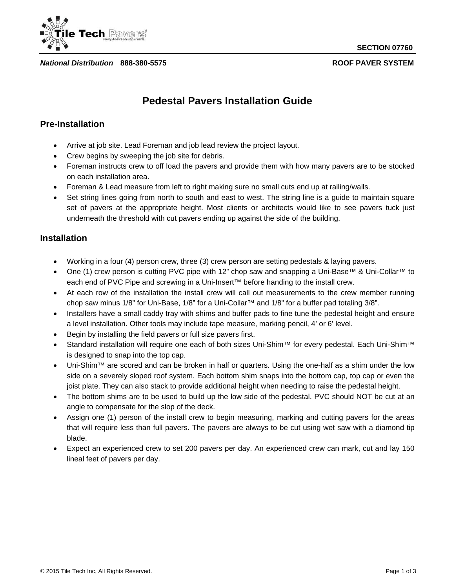

*National Distribution* **888-380-5575 ROOF PAVER SYSTEM**

**SECTION 07760**

# **Pedestal Pavers Installation Guide**

### **Pre-Installation**

- Arrive at job site. Lead Foreman and job lead review the project layout.
- Crew begins by sweeping the job site for debris.
- Foreman instructs crew to off load the pavers and provide them with how many pavers are to be stocked on each installation area.
- Foreman & Lead measure from left to right making sure no small cuts end up at railing/walls.
- Set string lines going from north to south and east to west. The string line is a guide to maintain square set of pavers at the appropriate height. Most clients or architects would like to see pavers tuck just underneath the threshold with cut pavers ending up against the side of the building.

### **Installation**

- Working in a four (4) person crew, three (3) crew person are setting pedestals & laying pavers.
- One (1) crew person is cutting PVC pipe with 12" chop saw and snapping a Uni-Base™ & Uni-Collar™ to each end of PVC Pipe and screwing in a Uni-Insert™ before handing to the install crew.
- At each row of the installation the install crew will call out measurements to the crew member running chop saw minus 1/8" for Uni-Base, 1/8" for a Uni-Collar™ and 1/8" for a buffer pad totaling 3/8".
- Installers have a small caddy tray with shims and buffer pads to fine tune the pedestal height and ensure a level installation. Other tools may include tape measure, marking pencil, 4' or 6' level.
- Begin by installing the field pavers or full size pavers first.
- Standard installation will require one each of both sizes Uni-Shim™ for every pedestal. Each Uni-Shim™ is designed to snap into the top cap.
- Uni-Shim™ are scored and can be broken in half or quarters. Using the one-half as a shim under the low side on a severely sloped roof system. Each bottom shim snaps into the bottom cap, top cap or even the joist plate. They can also stack to provide additional height when needing to raise the pedestal height.
- The bottom shims are to be used to build up the low side of the pedestal. PVC should NOT be cut at an angle to compensate for the slop of the deck.
- Assign one (1) person of the install crew to begin measuring, marking and cutting pavers for the areas that will require less than full pavers. The pavers are always to be cut using wet saw with a diamond tip blade.
- Expect an experienced crew to set 200 pavers per day. An experienced crew can mark, cut and lay 150 lineal feet of pavers per day.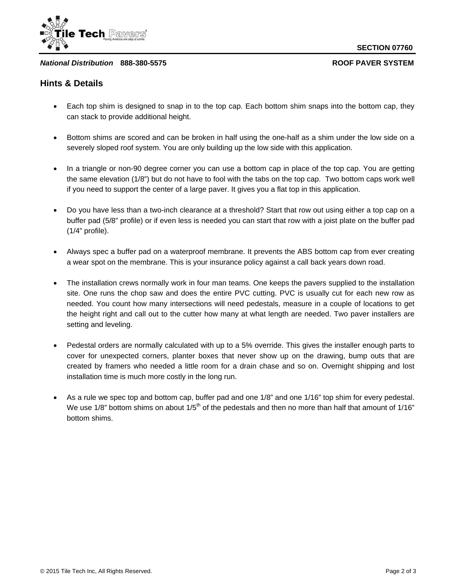

### *National Distribution* **888-380-5575 ROOF PAVER SYSTEM**

### **Hints & Details**

- Each top shim is designed to snap in to the top cap. Each bottom shim snaps into the bottom cap, they can stack to provide additional height.
- Bottom shims are scored and can be broken in half using the one-half as a shim under the low side on a severely sloped roof system. You are only building up the low side with this application.
- In a triangle or non-90 degree corner you can use a bottom cap in place of the top cap. You are getting the same elevation (1/8") but do not have to fool with the tabs on the top cap. Two bottom caps work well if you need to support the center of a large paver. It gives you a flat top in this application.
- Do you have less than a two-inch clearance at a threshold? Start that row out using either a top cap on a buffer pad (5/8" profile) or if even less is needed you can start that row with a joist plate on the buffer pad (1/4" profile).
- Always spec a buffer pad on a waterproof membrane. It prevents the ABS bottom cap from ever creating a wear spot on the membrane. This is your insurance policy against a call back years down road.
- The installation crews normally work in four man teams. One keeps the pavers supplied to the installation site. One runs the chop saw and does the entire PVC cutting. PVC is usually cut for each new row as needed. You count how many intersections will need pedestals, measure in a couple of locations to get the height right and call out to the cutter how many at what length are needed. Two paver installers are setting and leveling.
- Pedestal orders are normally calculated with up to a 5% override. This gives the installer enough parts to cover for unexpected corners, planter boxes that never show up on the drawing, bump outs that are created by framers who needed a little room for a drain chase and so on. Overnight shipping and lost installation time is much more costly in the long run.
- As a rule we spec top and bottom cap, buffer pad and one 1/8" and one 1/16" top shim for every pedestal. We use 1/8" bottom shims on about  $1/5<sup>th</sup>$  of the pedestals and then no more than half that amount of 1/16" bottom shims.